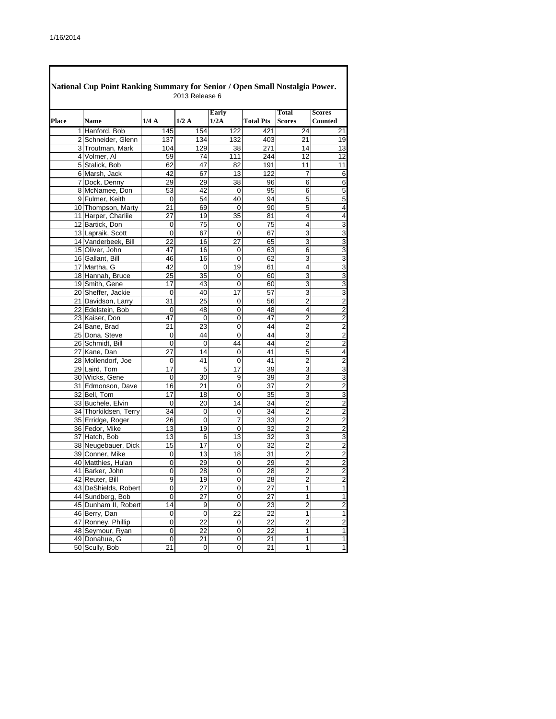| National Cup Point Ranking Summary for Senior / Open Small Nostalgia Power.<br>2013 Release 6 |                       |             |             |                |                  |                         |                                 |  |  |  |  |
|-----------------------------------------------------------------------------------------------|-----------------------|-------------|-------------|----------------|------------------|-------------------------|---------------------------------|--|--|--|--|
| Place                                                                                         | <b>Name</b>           | 1/4A        | 1/2A        | Early<br>1/2A  | <b>Total Pts</b> | Total<br><b>Scores</b>  | <b>Scores</b><br><b>Counted</b> |  |  |  |  |
|                                                                                               | 1 Hanford, Bob        | 145         | 154         | 122            | 421              | 24                      | 21                              |  |  |  |  |
|                                                                                               | 2 Schneider, Glenn    | 137         | 134         | 132            | 403              | 21                      | 19                              |  |  |  |  |
|                                                                                               | 3 Troutman, Mark      | 104         | 129         | 38             | 271              | 14                      | 13                              |  |  |  |  |
|                                                                                               | 4 Volmer, Al          | 59          | 74          | 111            | 244              | 12                      | 12                              |  |  |  |  |
|                                                                                               | 5 Stalick, Bob        | 62          | 47          | 82             | 191              | 11                      | 11                              |  |  |  |  |
|                                                                                               | 6 Marsh, Jack         | 42          | 67          | 13             | 122              | 7                       | 6                               |  |  |  |  |
|                                                                                               | 7 Dock, Denny         | 29          | 29          | 38             | 96               | 6                       | $\overline{6}$                  |  |  |  |  |
|                                                                                               | 8 McNamee, Don        | 53          | 42          | 0              | 95               | 6                       | 5                               |  |  |  |  |
|                                                                                               | 9 Fulmer, Keith       | $\mathbf 0$ | 54          | 40             | 94               | 5                       | 5                               |  |  |  |  |
|                                                                                               | 10 Thompson, Marty    | 21          | 69          | 0              | 90               | 5                       | $\overline{\mathbf{4}}$         |  |  |  |  |
|                                                                                               | 11 Harper, Charliie   | 27          | 19          | 35             | 81               | 4                       | $\overline{4}$                  |  |  |  |  |
|                                                                                               | 12 Bartick, Don       | 0           | 75          | 0              | 75               | 4                       | $\overline{3}$                  |  |  |  |  |
|                                                                                               | 13 Lapraik, Scott     | 0           | 67          | 0              | 67               | 3                       | $\overline{3}$                  |  |  |  |  |
|                                                                                               | 14 Vanderbeek, Bill   | 22          | 16          | 27             | 65               | 3                       | $\overline{3}$                  |  |  |  |  |
|                                                                                               | 15 Oliver, John       | 47          | 16          |                |                  | 6                       |                                 |  |  |  |  |
|                                                                                               | 16 Gallant, Bill      | 46          | 16          | 0<br>0         | 63<br>62         | 3                       | س سا س                          |  |  |  |  |
|                                                                                               | 17 Martha, G          |             |             |                |                  |                         |                                 |  |  |  |  |
|                                                                                               |                       | 42<br>25    | 0           | 19             | 61               | 4<br>$\overline{3}$     |                                 |  |  |  |  |
|                                                                                               | 18 Hannah, Bruce      |             | 35          | 0              | 60               |                         | $\frac{3}{3}$                   |  |  |  |  |
|                                                                                               | 19 Smith, Gene        | 17          | 43          | 0              | 60               | 3                       |                                 |  |  |  |  |
|                                                                                               | 20 Sheffer, Jackie    | 0           | 40          | 17             | 57               | 3                       | $\overline{3}$                  |  |  |  |  |
|                                                                                               | 21 Davidson, Larry    | 31          | 25          | 0              | 56               | 2                       | $\frac{2}{2}$                   |  |  |  |  |
|                                                                                               | 22 Edelstein, Bob     | 0           | 48          | 0              | 48               | 4                       |                                 |  |  |  |  |
|                                                                                               | 23 Kaiser, Don        | 47          | $\mathbf 0$ | 0              | 47               | $\overline{2}$          | $\frac{2}{2}$                   |  |  |  |  |
|                                                                                               | 24 Bane, Brad         | 21          | 23          | 0              | 44               | 2                       |                                 |  |  |  |  |
|                                                                                               | 25 Dona, Steve        | 0           | 44          | 0              | 44               | 3                       |                                 |  |  |  |  |
|                                                                                               | 26 Schmidt, Bill      | $\mathbf 0$ | $\mathbf 0$ | 44             | 44               | $\overline{2}$          | $\overline{2}$                  |  |  |  |  |
|                                                                                               | 27 Kane, Dan          | 27          | 14          | 0              | 41               | 5                       | 4                               |  |  |  |  |
|                                                                                               | 28 Mollendorf, Joe    | 0           | 41          | 0              | 41               | $\overline{2}$          | $\overline{2}$                  |  |  |  |  |
|                                                                                               | 29 Laird, Tom         | 17          | 5           | 17             | 39               | 3                       | 3                               |  |  |  |  |
|                                                                                               | 30 Wicks, Gene        | 0           | 30          | 9              | 39               | 3                       | $\overline{3}$                  |  |  |  |  |
|                                                                                               | 31 Edmonson, Dave     | 16          | 21          | 0              | 37               | 2                       | $\overline{\mathbf{c}}$         |  |  |  |  |
|                                                                                               | 32 Bell, Tom          | 17          | 18          | 0              | $\overline{35}$  | 3                       | $\overline{3}$                  |  |  |  |  |
|                                                                                               | 33 Buchele, Elvin     | $\mathbf 0$ | 20          | 14             | 34               | 2                       | $\overline{\mathbf{c}}$         |  |  |  |  |
|                                                                                               | 34 Thorkildsen, Terry | 34          | 0           | 0              | 34               | $\overline{2}$          | $\overline{2}$                  |  |  |  |  |
|                                                                                               | 35 Erridge, Roger     | 26          | 0           | 7              | 33               | 2                       | $\overline{2}$                  |  |  |  |  |
|                                                                                               | 36 Fedor, Mike        | 13          | 19          | 0              | $\overline{32}$  | $\overline{2}$          | $\overline{\mathbf{c}}$         |  |  |  |  |
|                                                                                               | 37 Hatch, Bob         | 13          | 6           | 13             | 32               | 3                       | 3                               |  |  |  |  |
|                                                                                               | 38 Neugebauer, Dick   | 15          | 17          | 0              | 32               | $\overline{2}$          | $\frac{2}{2}$                   |  |  |  |  |
|                                                                                               | 39 Conner, Mike       | 0           | 13          | 18             | 31               | $\overline{2}$          |                                 |  |  |  |  |
|                                                                                               | 40 Matthies, Hulan    | 0           | 29          | 0              | 29               | 2                       | $\overline{2}$                  |  |  |  |  |
|                                                                                               | 41 Barker, John       | 0           | 28          | 0              | 28               | $\overline{2}$          | $\overline{c}$                  |  |  |  |  |
|                                                                                               | 42 Reuter, Bill       | 9           | 19          | 0              | 28               | $\overline{\mathbf{c}}$ | $\frac{2}{1}$                   |  |  |  |  |
|                                                                                               | 43 DeShields, Robert  | 0           | 27          | 0              | 27               | $\mathbf{1}$            |                                 |  |  |  |  |
|                                                                                               | 44 Sundberg, Bob      | 0           | 27          | 0              | 27               | 1                       | $\overline{1}$                  |  |  |  |  |
|                                                                                               | 45 Dunham II, Robert  | 14          | 9           | 0              | 23               | $\overline{2}$          | $\overline{2}$                  |  |  |  |  |
|                                                                                               | 46 Berry, Dan         | 0           | 0           | 22             | 22               | 1                       | $\overline{1}$                  |  |  |  |  |
|                                                                                               | 47 Ronney, Phillip    | 0           | 22          | $\overline{0}$ | 22               | $\overline{c}$          |                                 |  |  |  |  |
|                                                                                               | 48 Seymour, Ryan      | 0           | 22          | 0              | 22               | $\mathbf{1}$            | $\frac{2}{1}$                   |  |  |  |  |
|                                                                                               | 49 Donahue, G         | $\pmb{0}$   | 21          | 0              | 21               | 1                       |                                 |  |  |  |  |
|                                                                                               | 50 Scully, Bob        | 21          | 0           | 0              | 21               | 1                       |                                 |  |  |  |  |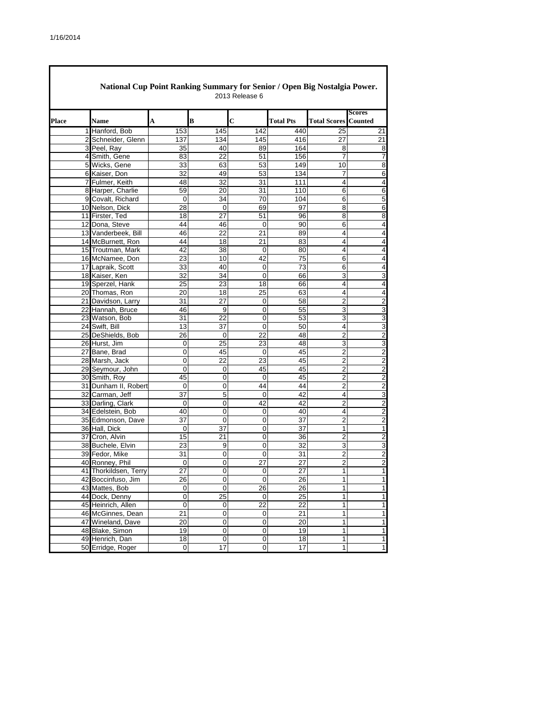|       | National Cup Point Ranking Summary for Senior / Open Big Nostalgia Power.<br>2013 Release 6 |                  |                |                 |                  |                         |                          |  |  |  |  |  |
|-------|---------------------------------------------------------------------------------------------|------------------|----------------|-----------------|------------------|-------------------------|--------------------------|--|--|--|--|--|
| Place | <b>Name</b>                                                                                 | A                | B              | $\overline{c}$  | <b>Total Pts</b> | <b>Total Scores</b>     | <b>Scores</b><br>Counted |  |  |  |  |  |
|       | 1 Hanford, Bob                                                                              | 153              | 145            | 142             | 440              | 25                      | 21                       |  |  |  |  |  |
|       | 2 Schneider, Glenn                                                                          | 137              | 134            | 145             | 416              | 27                      | 21                       |  |  |  |  |  |
|       | 3 Peel, Ray                                                                                 | 35               | 40             | 89              | 164              | 8                       | 8                        |  |  |  |  |  |
|       | 4 Smith, Gene                                                                               | 83               | 22             | 51              | 156              | $\overline{7}$          | $\overline{7}$           |  |  |  |  |  |
|       | 5 Wicks, Gene                                                                               | 33               | 63             | 53              | 149              | 10                      | $\overline{8}$           |  |  |  |  |  |
|       | 6 Kaiser, Don                                                                               | 32               | 49             | 53              | 134              | 7                       | 6                        |  |  |  |  |  |
|       | 7 Fulmer, Keith                                                                             | 48               | 32             | 31              | 111              | 4                       | $\overline{\mathbf{r}}$  |  |  |  |  |  |
|       | 8 Harper, Charlie                                                                           | 59               | 20             | 31              | 110              | 6                       | 6                        |  |  |  |  |  |
|       | 9 Covalt, Richard                                                                           | $\mathbf 0$      | 34             | $\overline{70}$ | 104              | 6                       | 5                        |  |  |  |  |  |
|       | 10 Nelson, Dick                                                                             | 28               | 0              | 69              | 97               | 8                       | $\,$ 6 $\,$              |  |  |  |  |  |
|       | 11 Firster, Ted                                                                             | 18               | 27             | 51              | 96               | 8                       | 8                        |  |  |  |  |  |
|       | 12 Dona, Steve                                                                              | 44               | 46             | $\mathbf 0$     | 90               | 6                       | $\overline{\mathbf{4}}$  |  |  |  |  |  |
|       | 13 Vanderbeek, Bill                                                                         | 46               | 22             | 21              | 89               | 4                       | $\overline{4}$           |  |  |  |  |  |
|       | 14 McBurnett, Ron                                                                           | 44               | 18             | 21              | 83               | $\overline{4}$          | $\overline{\mathbf{4}}$  |  |  |  |  |  |
|       | 15 Troutman, Mark                                                                           | 42               | 38             | 0               | 80               | 4                       | 4                        |  |  |  |  |  |
|       | 16 McNamee, Don                                                                             | 23               | 10             | 42              | 75               | 6                       | $\overline{4}$           |  |  |  |  |  |
|       | 17 Lapraik, Scott                                                                           | 33               | 40             | 0               | 73               | 6                       | 4                        |  |  |  |  |  |
|       | 18 Kaiser, Ken                                                                              | 32               | 34             | 0               | 66               | 3                       | ω                        |  |  |  |  |  |
|       | 19 Sperzel, Hank                                                                            | 25               | 23             | 18              | 66               | 4                       | $\overline{\mathbf{4}}$  |  |  |  |  |  |
|       | 20 Thomas, Ron                                                                              | 20               | 18             | 25              | 63               | 4                       | $\overline{4}$           |  |  |  |  |  |
|       | 21 Davidson, Larry                                                                          | 31               | 27             | 0               | 58               | 2                       | $\overline{c}$           |  |  |  |  |  |
|       | 22 Hannah, Bruce                                                                            | 46               | 9              | 0               | 55               | 3                       | 3                        |  |  |  |  |  |
|       | 23 Watson, Bob                                                                              | 31               | 22             | 0               | 53               | 3                       | 3                        |  |  |  |  |  |
|       | 24 Swift, Bill                                                                              | 13               | 37             | 0               | 50               | 4                       | $\overline{3}$           |  |  |  |  |  |
|       | 25 DeShields, Bob                                                                           | 26               | $\mathbf 0$    | 22              | 48               | $\overline{2}$          | $\overline{2}$           |  |  |  |  |  |
|       | 26 Hurst, Jim                                                                               | 0                | 25             | 23              | 48               | 3                       | $\overline{3}$           |  |  |  |  |  |
|       | 27 Bane, Brad                                                                               | 0                | 45             | $\mathbf 0$     | 45               | $\overline{2}$          | $\boldsymbol{2}$         |  |  |  |  |  |
|       | 28 Marsh, Jack                                                                              | 0                | 22             | 23              | 45               | $\overline{2}$          | $\overline{2}$           |  |  |  |  |  |
|       | 29 Seymour, John                                                                            | 0                | 0              | 45              | 45               | $\overline{2}$          | $\overline{2}$           |  |  |  |  |  |
|       | 30 Smith, Roy                                                                               | 45               | 0              | 0               | 45               | $\overline{2}$          | $\overline{2}$           |  |  |  |  |  |
|       | 31 Dunham II, Robert                                                                        | 0                | 0              | 44              | 44               | $\overline{2}$          | $\overline{2}$           |  |  |  |  |  |
|       | 32 Carman, Jeff                                                                             | 37               | 5              | 0               | 42               | 4                       | $\overline{3}$           |  |  |  |  |  |
|       | 33 Darling, Clark                                                                           | 0                | 0              | 42              | 42               | $\overline{2}$          | $\overline{2}$           |  |  |  |  |  |
|       | 34 Edelstein, Bob                                                                           | 40               | $\overline{0}$ | 0               | 40               | 4                       | $\overline{2}$           |  |  |  |  |  |
|       | 35 Edmonson, Dave                                                                           | 37               | 0              | 0               | 37               | 2                       | $\overline{2}$           |  |  |  |  |  |
|       | 36 Hall, Dick                                                                               | $\Omega$         | 37             | 0               | 37               | $\mathbf{1}$            | $\overline{1}$           |  |  |  |  |  |
|       | 37 Cron, Alvin                                                                              | 15               | 21             | 0               | 36               | $\overline{2}$          | $\overline{2}$           |  |  |  |  |  |
|       | 38 Buchele, Elvin                                                                           | 23               | 9              | 0               | $\overline{32}$  | 3                       | 3                        |  |  |  |  |  |
|       | 39 Fedor, Mike                                                                              | 31               | 0              | 0               | 31               | $\overline{\mathbf{c}}$ | $\overline{c}$           |  |  |  |  |  |
|       | 40 Ronney, Phil                                                                             | 0                | 0              | 27              | 27               | $\overline{2}$          | $\boldsymbol{2}$         |  |  |  |  |  |
|       | 41 Thorkildsen, Terry                                                                       | 27               | $\Omega$       | $\Omega$        | 27               | 1                       | $\mathbf{1}$             |  |  |  |  |  |
|       | 42 Boccinfuso, Jim                                                                          | 26               | 0              | 0               | 26               | $\mathbf{1}$            | $\mathbf{1}$             |  |  |  |  |  |
|       | 43 Mattes, Bob                                                                              | 0                | $\mathsf 0$    | 26              | 26               | $\mathbf{1}$            | 1                        |  |  |  |  |  |
|       | 44 Dock, Denny                                                                              | 0                | 25             | 0               | 25               | $\mathbf{1}$            | $\mathbf{1}$             |  |  |  |  |  |
|       | 45 Heinrich, Allen                                                                          | $\boldsymbol{0}$ | 0              | 22              | 22               | $\mathbf{1}$            | $\mathbf{1}$             |  |  |  |  |  |
|       | 46 McGinnes, Dean                                                                           | 21               | 0              | $\pmb{0}$       | 21               | $\mathbf{1}$            | $\mathbf{1}$             |  |  |  |  |  |
|       | 47 Wineland, Dave                                                                           | 20               | 0              | $\pmb{0}$       | 20               | $\mathbf{1}$            | $\mathbf{1}$             |  |  |  |  |  |
|       | 48 Blake, Simon                                                                             | 19               | 0              | 0               | 19               | $\mathbf{1}$            | $\mathbf{1}$             |  |  |  |  |  |
|       | 49 Henrich, Dan                                                                             | 18               | 0              | $\pmb{0}$       | 18               | $\mathbf{1}$            | $\mathbf{1}$             |  |  |  |  |  |
|       | 50 Erridge, Roger                                                                           | 0                | 17             | 0               | 17               | 1                       | $\mathbf{1}$             |  |  |  |  |  |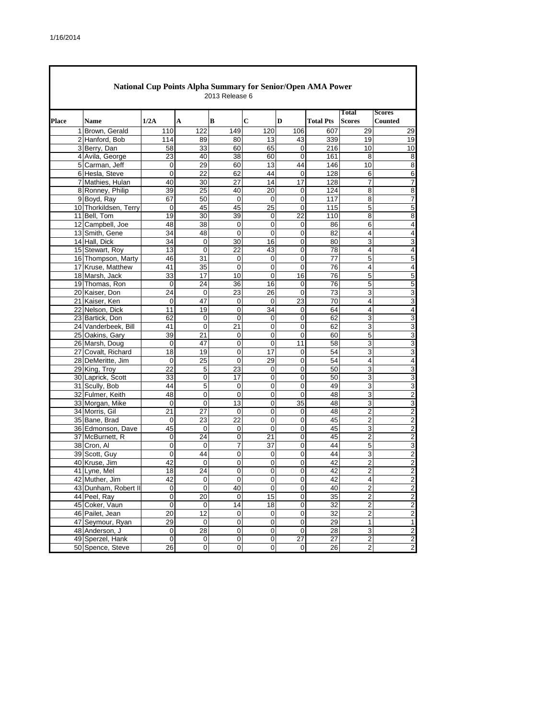|              | National Cup Points Alpha Summary for Senior/Open AMA Power<br>2013 Release 6 |                       |                 |                 |                |                  |                |                  |                         |                                 |  |  |  |
|--------------|-------------------------------------------------------------------------------|-----------------------|-----------------|-----------------|----------------|------------------|----------------|------------------|-------------------------|---------------------------------|--|--|--|
| <b>Place</b> |                                                                               | <b>Name</b>           | 1/2A            | A               | B              | $\mathbf C$      | D              | <b>Total Pts</b> | Total<br><b>Scores</b>  | <b>Scores</b><br><b>Counted</b> |  |  |  |
|              |                                                                               | 1 Brown, Gerald       | 110             | 122             | 149            | 120              | 106            | 607              | 29                      | 29                              |  |  |  |
|              |                                                                               | 2 Hanford, Bob        | 114             | 89              | 80             | 13               | 43             | 339              | 19                      | 19                              |  |  |  |
|              |                                                                               | 3 Berry, Dan          | 58              | 33              | 60             | 65               | $\mathbf 0$    | 216              | 10                      | 10                              |  |  |  |
|              |                                                                               | 4 Avila, George       | 23              | 40              | 38             | 60               | 0              | 161              | 8                       | 8                               |  |  |  |
|              |                                                                               | 5 Carman, Jeff        | 0               | 29              | 60             | 13               | 44             | 146              | 10                      | 8                               |  |  |  |
|              |                                                                               | 6 Hesla, Steve        | 0               | 22              | 62             | 44               | 0              | 128              | 6                       | 6                               |  |  |  |
|              |                                                                               | 7 Mathies, Hulan      | 40              | 30              | 27             | 14               | 17             | 128              | $\overline{7}$          | 7                               |  |  |  |
|              |                                                                               | 8 Ronney, Philip      | 39              | 25              | 40             | 20               | 0              | 124              | 8                       | 8                               |  |  |  |
|              |                                                                               | 9 Boyd, Ray           | 67              | 50              | $\mathbf 0$    | $\mathbf 0$      | 0              | 117              | 8                       | 7                               |  |  |  |
|              |                                                                               | 10 Thorkildsen, Terry | 0               | 45              | 45             | 25               | 0              | 115              | 5                       | 5                               |  |  |  |
|              |                                                                               | 11 Bell, Tom          | 19              | 30              | 39             | 0                | 22             | 110              | 8                       | 8                               |  |  |  |
|              |                                                                               | 12 Campbell, Joe      | 48              | 38              | 0              | 0                | 0              | 86               | 6                       | 4                               |  |  |  |
|              |                                                                               | 13 Smith, Gene        | 34              | 48              | 0              | 0                | 0              | 82               | 4                       | 4                               |  |  |  |
|              |                                                                               | 14 Hall, Dick         | 34              | $\mathsf 0$     | 30             | 16               | $\mathbf 0$    | 80               | 3                       | 3                               |  |  |  |
|              |                                                                               | 15 Stewart, Roy       | 13              | 0               | 22             | 43               | 0              | 78               | 4                       | 4                               |  |  |  |
|              |                                                                               | 16 Thompson, Marty    | 46              | 31              | 0              | $\mathbf 0$      | $\mathbf 0$    | 77               | 5                       | 5                               |  |  |  |
|              |                                                                               | 17 Kruse, Matthew     | 41              | 35              | 0              | 0                | 0              | 76               | 4                       | 4                               |  |  |  |
|              |                                                                               | 18 Marsh, Jack        | 33              | 17              | 10             | 0                | 16             | 76               | 5                       | 5                               |  |  |  |
|              |                                                                               | 19 Thomas, Ron        | 0               | 24              | 36             | 16               | $\mathbf 0$    | 76               | 5                       | 5                               |  |  |  |
|              |                                                                               | 20 Kaiser, Don        | 24              | 0               | 23             | 26               | $\mathbf 0$    | 73               | 3                       | 3                               |  |  |  |
|              |                                                                               | 21 Kaiser, Ken        | 0               | 47              | 0              | 0                | 23             | 70               | 4                       | 3                               |  |  |  |
|              |                                                                               | 22 Nelson, Dick       | 11              | 19              | 0              | 34               | 0              | 64               | 4                       | 4                               |  |  |  |
|              |                                                                               | 23 Bartick, Don       | 62              | 0               | 0              | 0                | $\mathbf 0$    | 62               | 3                       | 3                               |  |  |  |
|              |                                                                               | 24 Vanderbeek, Bill   | 41              | 0               | 21             | $\mathbf 0$      | $\mathbf 0$    | 62               | 3                       | 3                               |  |  |  |
|              |                                                                               | 25 Oakins, Gary       | 39              | 21              | 0              | 0                | $\mathbf 0$    | 60               | 5                       | 3                               |  |  |  |
|              |                                                                               | 26 Marsh, Doug        | 0               | 47              | 0              | 0                | 11             | 58               | 3                       | 3                               |  |  |  |
|              |                                                                               | 27 Covalt, Richard    | 18              | 19              | 0              | 17               | 0              | 54               | 3                       | 3                               |  |  |  |
|              |                                                                               | 28 DeMeritte, Jim     | 0               | $\overline{25}$ | 0              | 29               | $\mathbf 0$    | 54               | 4                       | 4                               |  |  |  |
|              |                                                                               | 29 King, Troy         | 22              | 5               | 23             | 0                | 0              | 50               | 3                       | 3                               |  |  |  |
|              |                                                                               | 30 Laprick, Scott     | 33              | $\overline{0}$  | 17             | 0                | $\overline{0}$ | 50               | 3                       | 3                               |  |  |  |
|              |                                                                               | 31 Scully, Bob        | 44              | 5               | 0              | 0                | 0              | 49               | 3                       | 3                               |  |  |  |
|              |                                                                               | 32 Fulmer, Keith      | 48              | 0               | $\overline{0}$ | 0                | $\Omega$       | 48               | 3                       | $\overline{2}$                  |  |  |  |
|              |                                                                               | 33 Morgan, Mike       | 0               | 0               | 13             | 0                | 35             | 48               | 3                       | 3                               |  |  |  |
|              |                                                                               | 34 Morris, Gil        | $\overline{21}$ | $\overline{27}$ | 0              | 0                | 0              | 48               | $\overline{c}$          | $\overline{c}$                  |  |  |  |
|              |                                                                               | 35 Bane, Brad         | 0               | 23              | 22             | 0                | 0              | 45               | 2                       | 2                               |  |  |  |
|              |                                                                               | 36 Edmonson, Dave     | 45              | 0               | 0              | $\boldsymbol{0}$ | 0              | 45               | 3                       | $\overline{2}$                  |  |  |  |
|              |                                                                               | 37 McBurnett, R       | 0               | 24              | 0              | 21               | 0              | 45               | $\overline{2}$          | $\overline{2}$                  |  |  |  |
|              |                                                                               | 38 Cron, Al           | 0               | 0               | 7              | 37               | 0              | 44               | 5                       | 3                               |  |  |  |
|              |                                                                               | 39 Scott, Guy         | 0               | 44              | 0              | $\mathbf 0$      | $\mathbf 0$    | 44               | 3                       | $\overline{\mathbf{c}}$         |  |  |  |
|              |                                                                               | 40 Kruse, Jim         | 42              | 0               | 0              | 0                | 0              | 42               | 2                       | $\overline{2}$                  |  |  |  |
|              |                                                                               | 41 Lyne, Mel          | 18              | $\overline{24}$ | 0              | 0                | $\mathbf 0$    | 42               | $\overline{2}$          |                                 |  |  |  |
|              |                                                                               | 42 Muther, Jim        | 42              | 0               | $\mathbf 0$    | $\mathbf 0$      | 0              | 42               | 4                       | $\overline{\mathbf{c}}$         |  |  |  |
|              |                                                                               | 43 Dunham, Robert II  | 0               | $\overline{0}$  | 40             | 0                | 0              | 40               | $\overline{\mathbf{c}}$ | $\overline{c}$                  |  |  |  |
|              |                                                                               | 44 Peel, Ray          | 0               | 20              | 0              | 15               | $\mathbf 0$    | 35               | $\overline{c}$          | $\overline{c}$                  |  |  |  |
|              |                                                                               | 45 Coker, Vaun        | 0               | $\mathbf 0$     | 14             | 18               | $\mathbf 0$    | 32               | $\boldsymbol{2}$        | $\overline{c}$                  |  |  |  |
|              |                                                                               | 46 Pailet, Jean       | 20              | 12              | 0              | 0                | $\mathbf 0$    | 32               | $\mathbf 2$             | $\overline{\mathbf{c}}$         |  |  |  |
|              |                                                                               | 47 Seymour, Ryan      | 29              | $\mathbf 0$     | $\pmb{0}$      | $\pmb{0}$        | $\pmb{0}$      | 29               | 1                       | 1                               |  |  |  |
|              |                                                                               | 48 Anderson, J        | 0               | 28              | 0              | 0                | $\mathbf 0$    | 28               | 3                       | $\overline{c}$                  |  |  |  |
|              |                                                                               | 49 Sperzel, Hank      | 0               | $\pmb{0}$       | $\pmb{0}$      | $\pmb{0}$        | 27             | 27               | $\overline{a}$          | $\overline{c}$                  |  |  |  |
|              |                                                                               | 50 Spence, Steve      | 26              | $\overline{0}$  | 0              | 0                | $\pmb{0}$      | 26               | $\overline{a}$          | $\overline{2}$                  |  |  |  |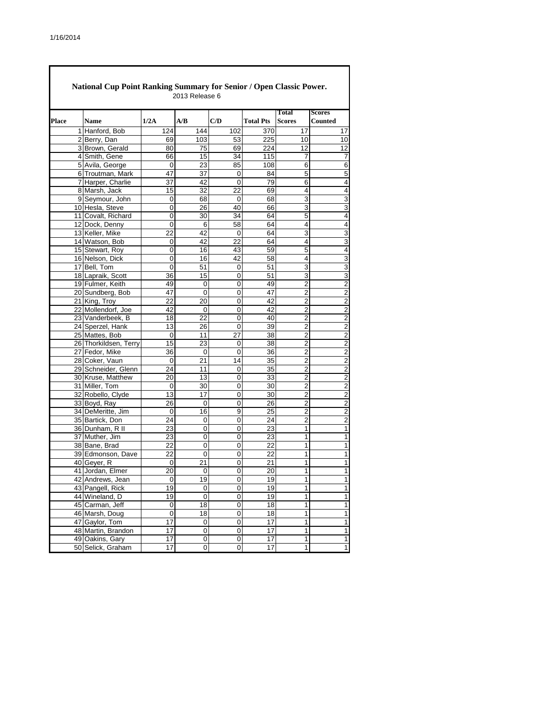|       | National Cup Point Ranking Summary for Senior / Open Classic Power.<br>2013 Release 6 |                 |                 |                |                  |                               |                                 |  |  |  |  |  |
|-------|---------------------------------------------------------------------------------------|-----------------|-----------------|----------------|------------------|-------------------------------|---------------------------------|--|--|--|--|--|
| Place | <b>Name</b>                                                                           | 1/2A            | A/B             | C/D            | <b>Total Pts</b> | <b>Total</b><br><b>Scores</b> | <b>Scores</b><br><b>Counted</b> |  |  |  |  |  |
|       | 1 Hanford, Bob                                                                        | 124             | 144             | 102            | 370              | 17                            | 17                              |  |  |  |  |  |
|       | 2 Berry, Dan                                                                          | 69              | 103             | 53             | 225              | 10                            | 10                              |  |  |  |  |  |
|       | 3 Brown, Gerald                                                                       | 80              | 75              | 69             | 224              | $\overline{12}$               | $\overline{12}$                 |  |  |  |  |  |
|       | 4 Smith, Gene                                                                         | 66              | 15              | 34             | 115              | 7                             | 7                               |  |  |  |  |  |
|       | 5 Avila, George                                                                       | 0               | 23              | 85             | 108              | 6                             | $\overline{6}$                  |  |  |  |  |  |
|       | 6 Troutman, Mark                                                                      | 47              | 37              | 0              | 84               | 5                             | 5                               |  |  |  |  |  |
|       | 7 Harper, Charlie                                                                     | $\overline{37}$ | 42              | $\mathbf 0$    | 79               | 6                             | $\overline{\mathbf{r}}$         |  |  |  |  |  |
|       | 8 Marsh, Jack                                                                         | 15              | 32              | 22             | 69               | 4                             | 4                               |  |  |  |  |  |
|       | 9 Seymour, John                                                                       | $\mathbf 0$     | 68              | 0              | 68               | 3                             | $\overline{3}$                  |  |  |  |  |  |
|       | 10 Hesla, Steve                                                                       | 0               | 26              | 40             | 66               | 3                             | $\mathsf 3$                     |  |  |  |  |  |
|       | 11 Covalt, Richard                                                                    | 0               | 30              | 34             | 64               | 5                             | $\overline{\mathbf{4}}$         |  |  |  |  |  |
|       | 12 Dock, Denny                                                                        | 0               | 6               | 58             | 64               | 4                             | 4                               |  |  |  |  |  |
|       | 13 Keller, Mike                                                                       | 22              | 42              | 0              | 64               | 3                             | 3                               |  |  |  |  |  |
|       | 14 Watson, Bob                                                                        | 0               | 42              | 22             | 64               | 4                             | 3                               |  |  |  |  |  |
|       | 15 Stewart, Roy                                                                       | 0               | 16              | 43             | 59               | 5                             | 4                               |  |  |  |  |  |
|       | 16 Nelson, Dick                                                                       | 0               | 16              | 42             | 58               | 4                             | $\overline{3}$                  |  |  |  |  |  |
|       | 17 Bell, Tom                                                                          | 0               | 51              | 0              | 51               | 3                             | 3                               |  |  |  |  |  |
|       | 18 Lapraik, Scott                                                                     | 36              | 15              | 0              | 51               | 3                             | 3                               |  |  |  |  |  |
|       | 19 Fulmer, Keith                                                                      | 49              | 0               | 0              | 49               | 2                             | $\overline{2}$                  |  |  |  |  |  |
|       | 20 Sundberg, Bob                                                                      | 47              | 0               | 0              | 47               | $\overline{2}$                | $\overline{2}$                  |  |  |  |  |  |
|       | 21 King, Troy                                                                         | 22              | 20              | 0              | 42               | 2                             | $\overline{2}$                  |  |  |  |  |  |
|       | 22 Mollendorf, Joe                                                                    | 42              | 0               | 0              | 42               | 2                             | $\overline{2}$                  |  |  |  |  |  |
|       | 23 Vanderbeek, B                                                                      | 18              | 22              | 0              | 40               | 2                             | $\overline{c}$                  |  |  |  |  |  |
|       | 24 Sperzel, Hank                                                                      | 13              | 26              | 0              | 39               | $\overline{2}$                | $\overline{2}$                  |  |  |  |  |  |
|       | 25 Mattes, Bob                                                                        | 0               | 11              | 27             | 38               | $\overline{2}$                | $\overline{2}$                  |  |  |  |  |  |
|       | 26 Thorkildsen, Terry                                                                 | 15              | 23              | 0              | 38               | 2                             | $\overline{2}$                  |  |  |  |  |  |
|       | 27 Fedor, Mike                                                                        | 36              | 0               | 0              | 36               | $\overline{2}$                | $\overline{2}$                  |  |  |  |  |  |
|       | 28 Coker, Vaun                                                                        | 0               | $\overline{21}$ | 14             | 35               | $\overline{2}$                | $\overline{2}$                  |  |  |  |  |  |
|       | 29 Schneider, Glenn                                                                   | 24              | 11              | 0              | 35               | 2                             | $\overline{2}$                  |  |  |  |  |  |
|       | 30 Kruse, Matthew                                                                     | 20              | 13              | 0              | 33               | 2                             | $\overline{c}$                  |  |  |  |  |  |
|       | 31 Miller, Tom                                                                        | 0               | 30              | 0              | 30               | 2                             | $\overline{c}$                  |  |  |  |  |  |
|       | 32 Robello, Clyde                                                                     | 13              | $\overline{17}$ | $\overline{0}$ | 30               | $\overline{2}$                | $\overline{2}$                  |  |  |  |  |  |
|       | 33 Boyd, Ray                                                                          | 26              | 0               | 0              | 26               | 2                             | $\overline{2}$                  |  |  |  |  |  |
|       | 34 DeMeritte, Jim                                                                     | $\mathbf 0$     | 16              | 9              | $\overline{25}$  | $\overline{2}$                | $\overline{2}$                  |  |  |  |  |  |
|       | 35 Bartick, Don                                                                       | 24              | 0               | 0              | 24               | 2                             | $\overline{c}$                  |  |  |  |  |  |
|       | 36 Dunham, R II                                                                       | 23              | 0               | 0              | 23               | 1                             | $\overline{1}$                  |  |  |  |  |  |
|       | 37 Muther, Jim                                                                        | 23              | 0               | 0              | 23               | 1                             | $\mathbf 1$                     |  |  |  |  |  |
|       | 38 Bane, Brad                                                                         | 22              | 0               | 0              | 22               | 1                             | $\overline{1}$                  |  |  |  |  |  |
|       | 39 Edmonson, Dave                                                                     | 22              | 0               | 0              | 22               | 1                             | $\mathbf 1$                     |  |  |  |  |  |
|       | 40 Geyer, R                                                                           | 0               | 21              | 0              | 21               | 1                             | 1                               |  |  |  |  |  |
|       | 41 Jordan, Elmer                                                                      | $\overline{20}$ | 0               | $\overline{0}$ | $\overline{20}$  | 1                             | 1                               |  |  |  |  |  |
|       | 42 Andrews, Jean                                                                      | $\mathbf 0$     | 19              | 0              | 19               | 1                             | 1                               |  |  |  |  |  |
|       | 43 Pangell, Rick                                                                      | 19              | 0               | 0              | 19               | 1                             | 1                               |  |  |  |  |  |
|       | 44 Wineland, D                                                                        | 19              | 0               | 0              | 19               | 1                             | 1                               |  |  |  |  |  |
|       | 45 Carman, Jeff                                                                       | 0               | 18              | 0              | 18               | 1                             | $\mathbf 1$                     |  |  |  |  |  |
|       | 46 Marsh, Doug                                                                        | 0               | 18              | 0              | 18               | 1                             | 1                               |  |  |  |  |  |
|       | 47 Gaylor, Tom                                                                        | 17              | 0               | 0              | 17               | 1                             | $\mathbf 1$                     |  |  |  |  |  |
|       | 48 Martin, Brandon                                                                    | 17              | 0               | 0              | 17               | 1                             | $\mathbf{1}$                    |  |  |  |  |  |
|       | 49 Oakins, Gary                                                                       | 17              | 0               | $\overline{0}$ | 17               | 1                             | $\mathbf{1}$                    |  |  |  |  |  |
|       | 50 Selick, Graham                                                                     | 17              | 0               | 0              | 17               | 1                             | $\mathbf{1}$                    |  |  |  |  |  |

┑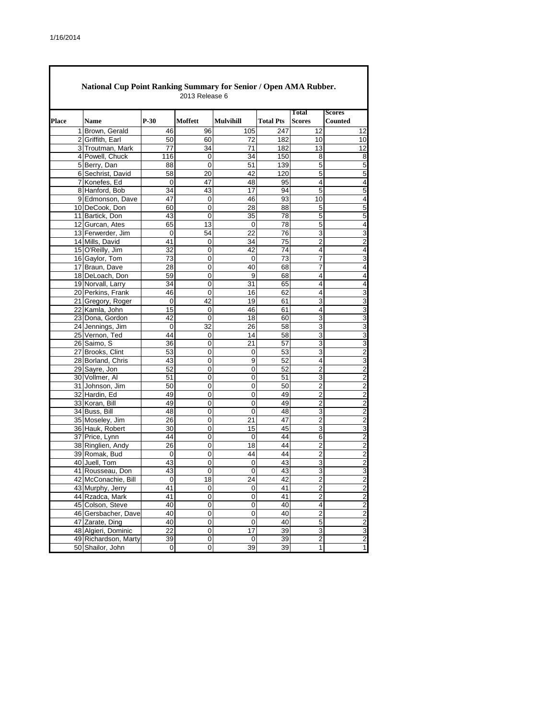| National Cup Point Ranking Summary for Senior / Open AMA Rubber.<br>2013 Release 6 |                                         |                 |                   |                  |                  |                                    |                                           |  |  |  |  |
|------------------------------------------------------------------------------------|-----------------------------------------|-----------------|-------------------|------------------|------------------|------------------------------------|-------------------------------------------|--|--|--|--|
|                                                                                    |                                         |                 |                   |                  |                  | <b>Total</b>                       | <b>Scores</b>                             |  |  |  |  |
| Place                                                                              | <b>Name</b>                             | $P-30$          | Moffett           | <b>Mulvihill</b> | <b>Total Pts</b> | <b>Scores</b>                      | <b>Counted</b>                            |  |  |  |  |
|                                                                                    | 1 Brown, Gerald                         | 46              | 96                | 105              | 247              | 12                                 | 12                                        |  |  |  |  |
|                                                                                    | 2 Griffith, Earl                        | 50              | 60                | 72               | 182              | 10                                 | 10                                        |  |  |  |  |
|                                                                                    | 3 Troutman, Mark                        | 77              | 34                | 71               | 182              | 13                                 | 12                                        |  |  |  |  |
|                                                                                    | 4 Powell, Chuck                         | 116             | 0                 | 34               | 150              | 8                                  | 8                                         |  |  |  |  |
|                                                                                    | 5 Berry, Dan                            | 88              | 0                 | 51               | 139              | $\overline{5}$                     | 5                                         |  |  |  |  |
|                                                                                    | 6 Sechrist, David                       | 58              | 20                | 42               | 120              | 5                                  | 5                                         |  |  |  |  |
|                                                                                    | 7 Konefes, Ed                           | $\mathbf 0$     | 47                | 48               | 95               | 4                                  | 4                                         |  |  |  |  |
|                                                                                    | 8 Hanford, Bob                          | 34              | 43                | 17               | 94               | 5                                  | 5                                         |  |  |  |  |
|                                                                                    | 9 Edmonson, Dave                        | 47              | 0                 | 46               | 93               | 10                                 | 4                                         |  |  |  |  |
|                                                                                    | 10 DeCook, Don                          | 60              | 0                 | 28               | 88               | 5                                  | 5                                         |  |  |  |  |
|                                                                                    | 11 Bartick, Don                         | 43              | 0                 | 35               | 78               | 5                                  | 5                                         |  |  |  |  |
|                                                                                    | 12 Gurcan, Ates                         | 65              | 13                | 0                | 78               | 5                                  | 4                                         |  |  |  |  |
|                                                                                    | 13 Ferwerder, Jim                       | 0<br>41         | 54                | 22               | 76               | 3                                  | 3                                         |  |  |  |  |
|                                                                                    | 14 Mills, David                         |                 | 0                 | 34<br>42         | 75<br>74         | 2<br>4                             | 2<br>4                                    |  |  |  |  |
|                                                                                    | 15 O'Reilly, Jim<br>16 Gaylor, Tom      | 32<br>73        | 0<br>0            | 0                | 73               | 7                                  | 3                                         |  |  |  |  |
|                                                                                    | 17 Braun, Dave                          | 28              | 0                 | 40               | 68               | 7                                  | 4                                         |  |  |  |  |
|                                                                                    | 18 DeLoach, Don                         | 59              | $\mathbf 0$       | 9                | 68               | 4                                  | 4                                         |  |  |  |  |
|                                                                                    | 19 Norvall, Larry                       | 34              | 0                 | 31               | 65               | 4                                  | 4                                         |  |  |  |  |
|                                                                                    | 20 Perkins, Frank                       | 46              | 0                 | 16               | 62               | 4                                  | 3                                         |  |  |  |  |
|                                                                                    | 21 Gregory, Roger                       | 0               | 42                | 19               | 61               | 3                                  | 3                                         |  |  |  |  |
|                                                                                    | 22 Kamla, John                          | 15              | 0                 | 46               | 61               | 4                                  | 3                                         |  |  |  |  |
|                                                                                    | 23 Dona, Gordon                         | 42              | 0                 | 18               | 60               | 3                                  | 3                                         |  |  |  |  |
|                                                                                    | 24 Jennings, Jim                        | 0               | 32                | 26               | 58               | 3                                  | 3                                         |  |  |  |  |
|                                                                                    | 25 Vernon, Ted                          | 44              | 0                 | 14               | 58               | 3                                  | 3                                         |  |  |  |  |
|                                                                                    | 26 Saimo, S                             | 36              | 0                 | 21               | 57               | 3                                  | 3                                         |  |  |  |  |
|                                                                                    | 27 Brooks, Clint                        | 53              | 0                 | 0                | 53               | 3                                  | $\overline{2}$                            |  |  |  |  |
|                                                                                    | 28 Borland, Chris                       | 43              | 0                 | 9                | 52               | 4                                  | 3                                         |  |  |  |  |
|                                                                                    | 29 Sayre, Jon                           | 52              | 0                 | 0                | 52               | $\overline{2}$                     | $\overline{2}$                            |  |  |  |  |
|                                                                                    | 30 Vollmer, Al                          | 51              | 0                 | 0                | 51               | 3                                  | $\overline{2}$                            |  |  |  |  |
|                                                                                    | 31 Johnson, Jim                         | 50              | 0                 | 0                | 50               | 2                                  | 2                                         |  |  |  |  |
|                                                                                    | 32 Hardin, Ed                           | 49              | $\overline{0}$    | 0                | 49               | $\overline{2}$                     | 2                                         |  |  |  |  |
|                                                                                    | 33 Koran, Bill                          | 49              | 0                 | 0                | 49               | 2                                  | $\overline{2}$                            |  |  |  |  |
|                                                                                    | 34 Buss, Bill                           | 48              | $\overline{0}$    | 0                | 48               | 3                                  | $\overline{2}$                            |  |  |  |  |
|                                                                                    | 35 Moseley, Jim                         | 26              | 0                 | 21               | 47               | 2                                  | $\overline{2}$                            |  |  |  |  |
|                                                                                    | 36 Hauk, Robert                         | 30              | 0                 | 15               | 45               | 3                                  | 3                                         |  |  |  |  |
|                                                                                    | 37 Price, Lynn                          | 44              | 0                 | 0                | 44               | 6                                  | $\overline{2}$                            |  |  |  |  |
|                                                                                    | 38 Ringlien, Andy                       | $\overline{26}$ | $\overline{0}$    | 18               | 44               | $\overline{2}$                     | $\overline{2}$                            |  |  |  |  |
|                                                                                    | 39 Romak, Bud                           | 0               | 0                 | 44               | 44               | 2                                  | $\overline{2}$                            |  |  |  |  |
|                                                                                    | 40 Juell, Tom                           | 43              | 0<br>$\Omega$     | 0                | 43<br>43         | 3<br>3                             | 2                                         |  |  |  |  |
|                                                                                    | 41 Rousseau, Don                        | 43              |                   | $\Omega$         |                  |                                    | 3                                         |  |  |  |  |
|                                                                                    | 42 McConachie, Bill<br>43 Murphy, Jerry | 0<br>41         | 18<br>$\mathbf 0$ | 24<br>0          | 42<br>41         | $\boldsymbol{2}$<br>$\overline{2}$ | $\overline{\mathbf{c}}$<br>$\overline{2}$ |  |  |  |  |
|                                                                                    | 44 Rzadca, Mark                         | 41              | 0                 |                  | 41               | $\overline{2}$                     |                                           |  |  |  |  |
|                                                                                    |                                         | 40              | $\pmb{0}$         | 0<br>0           | 40               | $\overline{\mathbf{4}}$            | $\overline{2}$<br>$\overline{c}$          |  |  |  |  |
|                                                                                    | 45 Colson, Steve<br>46 Gersbacher, Dave | 40              | 0                 | 0                | 40               | $\overline{2}$                     | $\overline{2}$                            |  |  |  |  |
|                                                                                    | 47 Zarate, Ding                         | 40              | 0                 | 0                | 40               | 5                                  | $\overline{2}$                            |  |  |  |  |
|                                                                                    | 48 Algieri, Dominic                     | 22              | 0                 | 17               | 39               | 3                                  | 3                                         |  |  |  |  |
|                                                                                    | 49 Richardson, Marty                    | 39              | $\mathbf 0$       | 0                | 39               | $\overline{2}$                     | $\overline{2}$                            |  |  |  |  |
|                                                                                    | 50 Shailor, John                        | 0               | $\pmb{0}$         | 39               | 39               | $\mathbf{1}$                       | 1                                         |  |  |  |  |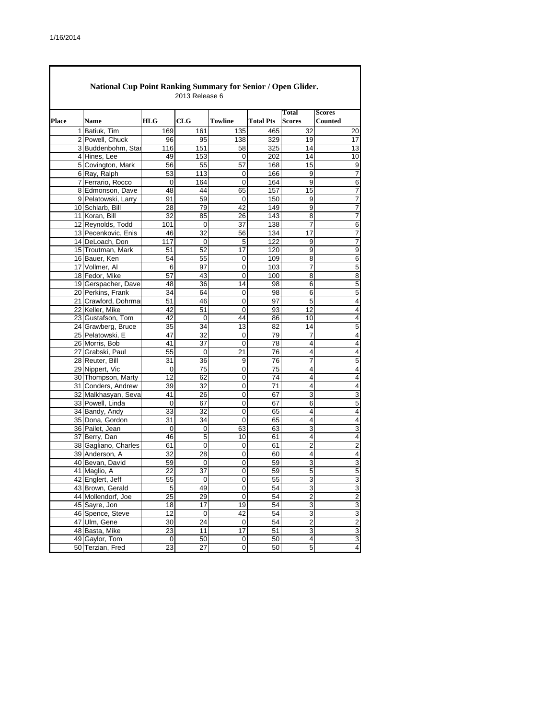|       | National Cup Point Ranking Summary for Senior / Open Glider.<br>2013 Release 6 |             |                  |                |                  |                               |                                 |  |  |  |  |  |
|-------|--------------------------------------------------------------------------------|-------------|------------------|----------------|------------------|-------------------------------|---------------------------------|--|--|--|--|--|
| Place | <b>Name</b>                                                                    | <b>HLG</b>  | CLG              | <b>Towline</b> | <b>Total Pts</b> | <b>Total</b><br><b>Scores</b> | <b>Scores</b><br><b>Counted</b> |  |  |  |  |  |
|       | 1 Batiuk, Tim                                                                  | 169         | 161              | 135            | 465              | 32                            | 20                              |  |  |  |  |  |
|       | 2 Powell, Chuck                                                                | 96          | 95               | 138            | 329              | 19                            | 17                              |  |  |  |  |  |
|       | 3 Buddenbohm, Star                                                             | 116         | 151              | 58             | 325              | 14                            | 13                              |  |  |  |  |  |
|       | 4 Hines, Lee                                                                   | 49          | 153              | 0              | 202              | 14                            | 10                              |  |  |  |  |  |
|       | 5 Covington, Mark                                                              | 56          | 55               | 57             | 168              | 15                            | 9                               |  |  |  |  |  |
|       | 6 Ray, Ralph                                                                   | 53          | 113              | 0              | 166              | 9                             | 7                               |  |  |  |  |  |
|       | 7 Ferrario, Rocco                                                              | $\mathbf 0$ | 164              | 0              | 164              | 9                             | 6                               |  |  |  |  |  |
|       | 8 Edmonson, Dave                                                               | 48          | 44               | 65             | 157              | 15                            | 7                               |  |  |  |  |  |
|       | 9 Pelatowski, Larry                                                            | 91          | 59               | 0              | 150              | 9                             | $\overline{7}$                  |  |  |  |  |  |
|       | 10 Schlarb, Bill                                                               | 28          | 79               | 42             | 149              | 9                             | 7                               |  |  |  |  |  |
|       | 11 Koran, Bill                                                                 | 32          | 85               | 26             | 143              | 8                             | 7                               |  |  |  |  |  |
|       | 12 Reynolds, Todd                                                              | 101         | 0                | 37             | 138              | 7                             | 6                               |  |  |  |  |  |
|       | 13 Pecenkovic, Enis                                                            | 46          | 32               | 56             | 134              | 17                            | 7                               |  |  |  |  |  |
|       | 14 DeLoach, Don                                                                | 117         | 0                | 5              | 122              | 9                             | $\overline{7}$                  |  |  |  |  |  |
|       | 15 Troutman, Mark                                                              | 51          | 52               | 17             | 120              | 9                             | 9                               |  |  |  |  |  |
|       | 16 Bauer, Ken                                                                  | 54          | 55               | 0              | 109              | 8                             | 6                               |  |  |  |  |  |
|       | 17 Vollmer, Al                                                                 | 6           | 97               | 0              | 103              | 7                             | 5                               |  |  |  |  |  |
|       | 18 Fedor, Mike                                                                 | 57          | 43               | 0              | 100              | 8                             | 8                               |  |  |  |  |  |
|       | 19 Gerspacher, Dave                                                            | 48          | 36               | 14             | 98               | 6                             | 5                               |  |  |  |  |  |
|       | 20 Perkins, Frank                                                              | 34          | 64               | 0              | 98               | 6                             | 5                               |  |  |  |  |  |
|       | 21 Crawford, Dohrma                                                            | 51          | 46               | 0              | 97               | 5                             | 4                               |  |  |  |  |  |
|       | 22 Keller, Mike                                                                | 42          | 51               | 0              | 93               | 12                            | 4                               |  |  |  |  |  |
|       | 23 Gustafson, Tom                                                              | 42          | 0                | 44             | 86               | 10                            | $\overline{4}$                  |  |  |  |  |  |
|       | 24 Grawberg, Bruce                                                             | 35          | 34               | 13             | 82               | 14                            | 5                               |  |  |  |  |  |
|       | 25 Pelatowski, E                                                               | 47          | 32               | 0              | 79               | 7                             | $\overline{4}$                  |  |  |  |  |  |
|       | 26 Morris, Bob                                                                 | 41          | 37               | $\mathbf 0$    | 78               | 4                             | 4                               |  |  |  |  |  |
|       | 27 Grabski, Paul                                                               | 55          | $\mathbf 0$      | 21             | 76               | 4                             | $\overline{4}$                  |  |  |  |  |  |
|       | 28 Reuter, Bill                                                                | 31          | 36               | $\overline{9}$ | 76               | 7                             | 5                               |  |  |  |  |  |
|       | 29 Nippert, Vic                                                                | 0           | 75               | 0              | 75               | 4                             | $\overline{4}$                  |  |  |  |  |  |
|       | 30 Thompson, Marty                                                             | 12          | 62               | $\overline{0}$ | 74               | 4                             | 4                               |  |  |  |  |  |
|       | 31 Conders, Andrew                                                             | 39          | 32               | 0              | 71               | 4                             | 4                               |  |  |  |  |  |
|       | 32 Malkhasyan, Seva                                                            | 41          | 26               | 0              | 67               | 3                             | 3                               |  |  |  |  |  |
|       | 33 Powell, Linda                                                               | 0           | 67               | 0              | 67               | 6                             | 5                               |  |  |  |  |  |
|       | 34 Bandy, Andy                                                                 | 33          | 32               | 0              | 65               | 4                             | $\overline{4}$                  |  |  |  |  |  |
|       | 35 Dona, Gordon                                                                | 31          | 34               | 0              | 65               | 4<br>3                        | 4                               |  |  |  |  |  |
|       | 36 Pailet, Jean                                                                | 0           | 0                | 63             | 63               |                               | 3                               |  |  |  |  |  |
|       | 37 Berry, Dan                                                                  | 46          | 5<br>$\mathbf 0$ | 10             | 61               | 4<br>$\overline{2}$           | 4<br>$\overline{2}$             |  |  |  |  |  |
|       | 38 Gagliano, Charles                                                           | 61          |                  | 0              | 61               | 4                             |                                 |  |  |  |  |  |
|       | 39 Anderson, A                                                                 | 32          | 28               | 0              | 60               | 3                             | 4                               |  |  |  |  |  |
|       | 40 Bevan, David                                                                | 59          | 0                | 0              | 59               | 5                             | 3<br>5                          |  |  |  |  |  |
|       | 41 Maglio, A                                                                   | 22          | 37               | 0              | 59               |                               |                                 |  |  |  |  |  |
|       | 42 Englert, Jeff<br>43 Brown, Gerald                                           | 55<br>5     | 0<br>49          | 0              | 55<br>54         | 3<br>3                        | 3<br>3                          |  |  |  |  |  |
|       | 44 Mollendorf, Joe                                                             | 25          | 29               | 0<br>0         | 54               | $\overline{c}$                |                                 |  |  |  |  |  |
|       | 45 Sayre, Jon                                                                  |             | 17               | 19             |                  | 3                             | $\overline{\mathbf{c}}$<br>3    |  |  |  |  |  |
|       | 46 Spence, Steve                                                               | 18<br>12    | 0                | 42             | 54<br>54         |                               |                                 |  |  |  |  |  |
|       | 47 Ulm, Gene                                                                   |             | 24               |                |                  | 3<br>$\overline{2}$           | 3<br>$\overline{2}$             |  |  |  |  |  |
|       |                                                                                | 30<br>23    | 11               | 0<br>17        | 54<br>51         | $\ensuremath{\mathsf{3}}$     |                                 |  |  |  |  |  |
|       | 48 Basta, Mike<br>49 Gaylor, Tom                                               | $\mathbf 0$ | 50               | 0              | 50               | 4                             | 3<br>$\overline{3}$             |  |  |  |  |  |
|       | 50 Terzian, Fred                                                               | 23          | 27               | 0              | 50               | 5                             | 4                               |  |  |  |  |  |
|       |                                                                                |             |                  |                |                  |                               |                                 |  |  |  |  |  |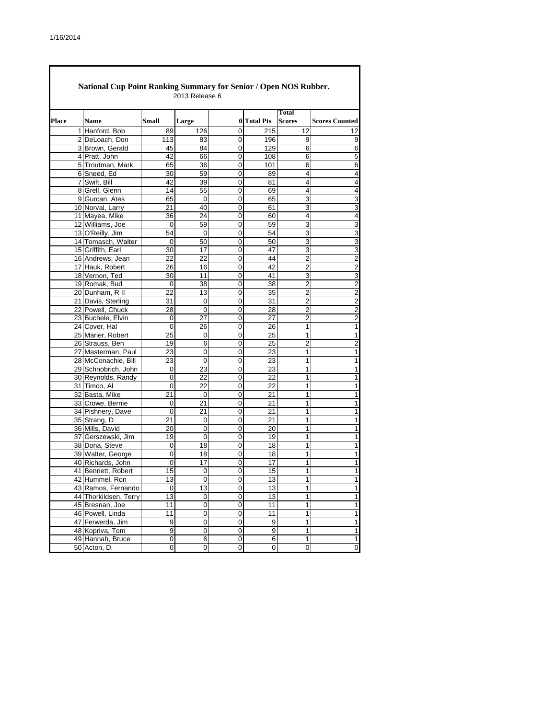$\Gamma$ 

|       | <b>National Cup Point Ranking Summary for Senior / Open NOS Rubber.</b> |             | 2013 Release 6  |                |                  |                |                         |
|-------|-------------------------------------------------------------------------|-------------|-----------------|----------------|------------------|----------------|-------------------------|
|       |                                                                         |             |                 |                |                  | <b>Total</b>   |                         |
| Place | <b>Name</b>                                                             | Small       | Large           | $\bf{0}$       | <b>Total Pts</b> | <b>Scores</b>  | <b>Scores Counted</b>   |
|       | 1 Hanford, Bob                                                          | 89          | 126             | $\Omega$       | 215              | 12             | 12                      |
|       | 2 DeLoach, Don                                                          | 113         | 83              | 0              | 196              | 9              | 9                       |
|       | 3 Brown, Gerald                                                         | 45          | 84              | 0              | 129              | 6              | 6                       |
|       | 4 Pratt, John                                                           | 42          | 66              | 0              | 108              | 6              | 5                       |
|       | 5 Troutman, Mark                                                        | 65          | 36              | 0              | 101              | 6              | 6                       |
|       | 6 Sneed, Ed                                                             | 30          | 59              | 0              | 89               | 4              | 4                       |
|       | 7 Swift, Bill                                                           | 42          | 39              | 0              | 81               | $\overline{4}$ | 4                       |
|       | 8 Grell, Glenn                                                          | 14          | 55              | 0              | 69               | 4              | 4                       |
|       | 9 Gurcan, Ates                                                          | 65          | 0               | 0              | 65               | 3              | 3                       |
|       | 10 Norval, Larry                                                        | 21          | 40              | 0              | 61               | 3              | 3                       |
|       | 11 Mayea, Mike                                                          | 36          | 24              | 0              | 60               | 4              | 4                       |
|       | 12 Williams, Joe                                                        | 0           | 59              | $\Omega$       | 59               | 3              | 3                       |
|       | 13 O'Reilly, Jim                                                        | 54          | 0               | 0              | 54               | 3              | 3                       |
|       | 14 Tomasch, Walter                                                      | 0           | 50              | 0              | 50               | 3              | 3                       |
|       | 15 Griffith, Earl                                                       | 30          | 17              | 0              | 47               | 3              | 3                       |
|       | 16 Andrews, Jean                                                        | 22          | 22              | 0              | 44               | $\overline{2}$ | $\overline{c}$          |
|       | 17 Hauk, Robert                                                         | 26          | 16              | 0              | 42               | $\overline{2}$ | $\overline{\mathbf{c}}$ |
|       | 18 Vernon, Ted                                                          | 30          | 11              | 0              | 41               | 3              | 3                       |
|       | 19 Romak, Bud                                                           | $\mathbf 0$ | 38              | 0              | 38               | $\overline{2}$ | $\overline{c}$          |
|       | 20 Dunham, R II                                                         | 22          | 13              | 0              | 35               | $\overline{2}$ | $\overline{2}$          |
|       | 21 Davis, Sterling                                                      | 31          | 0               | 0              | 31               | 2              | $\overline{c}$          |
|       | 22 Powell, Chuck                                                        | 28          | 0               | 0              | 28               | $\overline{2}$ | 2                       |
|       | 23 Buchele, Elvin                                                       | 0           | 27              | 0              | 27               | $\overline{2}$ | $\overline{c}$          |
|       | 24 Cover, Hal                                                           | 0           | 26              | 0              | 26               | 1              | 1                       |
|       | 25 Marier, Robert                                                       | 25          | 0               | 0              | 25               | 1              | 1                       |
|       | 26 Strauss, Ben                                                         | 19          | 6               | 0              | 25               | $\overline{2}$ | $\overline{\mathbf{c}}$ |
|       | 27 Masterman, Paul                                                      | 23          | 0               | 0              | 23               | 1              | 1                       |
|       | 28 McConachie, Bill                                                     | 23          | 0               | 0              | 23               | 1              | 1                       |
|       | 29 Schnobrich, John                                                     | 0           | $\overline{23}$ | $\overline{0}$ | $\overline{23}$  | 1              | 1                       |
|       | 30 Reynolds, Randy                                                      | 0           | 22              | 0              | 22               | 1              | 1                       |
|       | 31 Timco, Al                                                            | 0           | 22              | 0              | 22               | 1              | 1                       |
|       | 32 Basta, Mike                                                          | 21          | 0               | 0              | 21               | 1              | 1                       |
|       | 33 Crowe, Bernie                                                        | 0           | 21              | 0              | 21               | 1              | 1                       |
|       | 34 Pishnery, Dave                                                       | 0           | 21              | 0              | 21               | 1              | 1                       |
|       | 35 Strang, D                                                            | 21          | $\Omega$        | 0              | 21               | 1              | 1                       |
|       | 36 Mills, David                                                         | 20          | 0               | 0              | 20               | 1              | 1                       |
|       | 37 Gerszewski, Jim                                                      | 19          | $\mathbf 0$     | 0              | 19               | 1              | 1                       |
|       | 38 Dona, Steve                                                          | 0           | 18              | 0              | 18               | 1              | 1                       |
|       | 39 Walter, George                                                       | 0           | 18              | 0              | 18               | 1              | 1                       |
|       |                                                                         |             |                 |                | 17               |                |                         |
|       | 40 Richards, John                                                       | 0           | 17              | 0              | 15               | 1<br>1         | 1                       |
|       | 41 Bennett, Robert                                                      | 15          | 0               | 0              |                  |                | 1                       |
|       | 42 Hummel, Ron                                                          | 13          | 0               | 0              | 13               | 1              | 1                       |
|       | 43 Ramos, Fernando                                                      | 0           | 13              | 0              | 13               | 1              | 1                       |
|       | 44 Thorkildsen, Terry                                                   | 13          | 0               | 0              | 13               | 1              | 1                       |
|       | 45 Bresnan, Joe                                                         | 11          | 0               | 0              | 11               | 1              | 1                       |
|       | 46 Powell, Linda                                                        | 11          | 0               | 0              | 11               | 1              | 1                       |
|       | 47 Ferwerda, Jim                                                        | 9           | 0               | 0              | 9                | 1              | 1                       |
|       | 48 Kopriva, Tom                                                         | 9           | 0               | 0              | 9                | 1              | 1                       |
|       | 49 Hannah, Bruce                                                        | $\Omega$    | 6               | 0              | 6                | 1              | 1                       |
|       | 50 Acton, D.                                                            | 0           | 0               | 0              | 0                | 0              | 0                       |